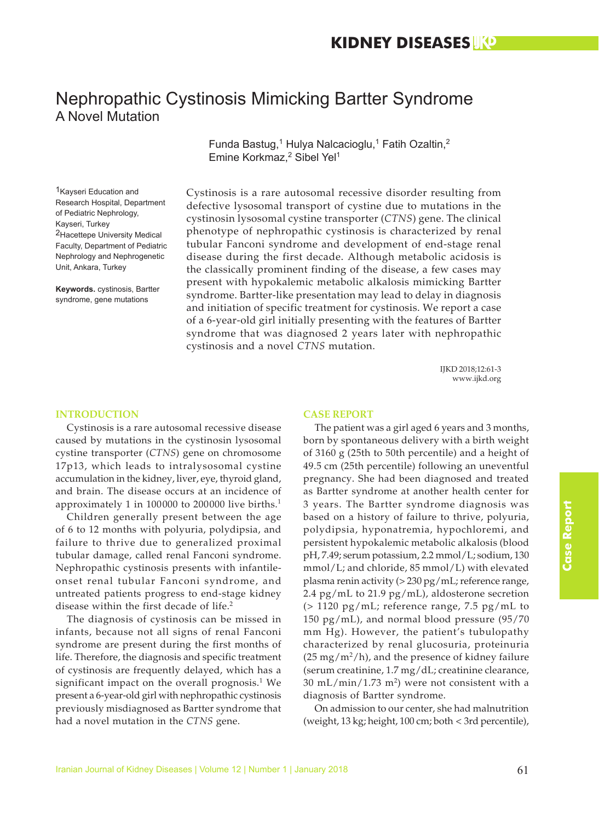# Nephropathic Cystinosis Mimicking Bartter Syndrome A Novel Mutation

Funda Bastug,<sup>1</sup> Hulya Nalcacioglu,<sup>1</sup> Fatih Ozaltin,<sup>2</sup> Emine Korkmaz,<sup>2</sup> Sibel Yel<sup>1</sup>

1Kayseri Education and Research Hospital, Department of Pediatric Nephrology, Kayseri, Turkey 2Hacettepe University Medical Faculty, Department of Pediatric Nephrology and Nephrogenetic Unit, Ankara, Turkey

**Keywords.** cystinosis, Bartter syndrome, gene mutations

Cystinosis is a rare autosomal recessive disorder resulting from defective lysosomal transport of cystine due to mutations in the cystinosin lysosomal cystine transporter (*CTNS*) gene. The clinical phenotype of nephropathic cystinosis is characterized by renal tubular Fanconi syndrome and development of end-stage renal disease during the first decade. Although metabolic acidosis is the classically prominent finding of the disease, a few cases may present with hypokalemic metabolic alkalosis mimicking Bartter syndrome. Bartter-like presentation may lead to delay in diagnosis and initiation of specific treatment for cystinosis. We report a case of a 6-year-old girl initially presenting with the features of Bartter syndrome that was diagnosed 2 years later with nephropathic cystinosis and a novel *CTNS* mutation.

> IJKD 2018;12:61-3 www.ijkd.org

## **INTRODUCTION**

Cystinosis is a rare autosomal recessive disease caused by mutations in the cystinosin lysosomal cystine transporter (*CTNS*) gene on chromosome 17p13, which leads to intralysosomal cystine accumulation in the kidney, liver, eye, thyroid gland, and brain. The disease occurs at an incidence of approximately 1 in 100000 to 200000 live births.<sup>1</sup>

Children generally present between the age of 6 to 12 months with polyuria, polydipsia, and failure to thrive due to generalized proximal tubular damage, called renal Fanconi syndrome. Nephropathic cystinosis presents with infantileonset renal tubular Fanconi syndrome, and untreated patients progress to end-stage kidney disease within the first decade of life.<sup>2</sup>

The diagnosis of cystinosis can be missed in infants, because not all signs of renal Fanconi syndrome are present during the first months of life. Therefore, the diagnosis and specific treatment of cystinosis are frequently delayed, which has a significant impact on the overall prognosis. $1$  We present a 6-year-old girl with nephropathic cystinosis previously misdiagnosed as Bartter syndrome that had a novel mutation in the *CTNS* gene.

#### **CASE REPORT**

The patient was a girl aged 6 years and 3 months, born by spontaneous delivery with a birth weight of 3160 g (25th to 50th percentile) and a height of 49.5 cm (25th percentile) following an uneventful pregnancy. She had been diagnosed and treated as Bartter syndrome at another health center for 3 years. The Bartter syndrome diagnosis was based on a history of failure to thrive, polyuria, polydipsia, hyponatremia, hypochloremi, and persistent hypokalemic metabolic alkalosis (blood pH, 7.49; serum potassium, 2.2 mmol/L; sodium, 130 mmol/L; and chloride, 85 mmol/L) with elevated plasma renin activity (> 230 pg/mL; reference range, 2.4 pg/mL to 21.9 pg/mL), aldosterone secretion  $(> 1120 \text{ pg/mL}$ ; reference range, 7.5 pg/mL to 150 pg/mL), and normal blood pressure (95/70 mm Hg). However, the patient's tubulopathy characterized by renal glucosuria, proteinuria  $(25 \text{ mg/m}^2/\text{h})$ , and the presence of kidney failure (serum creatinine, 1.7 mg/dL; creatinine clearance,  $30 \text{ mL/min} / 1.73 \text{ m}^2$ ) were not consistent with a diagnosis of Bartter syndrome.

On admission to our center, she had malnutrition (weight, 13 kg; height, 100 cm; both < 3rd percentile),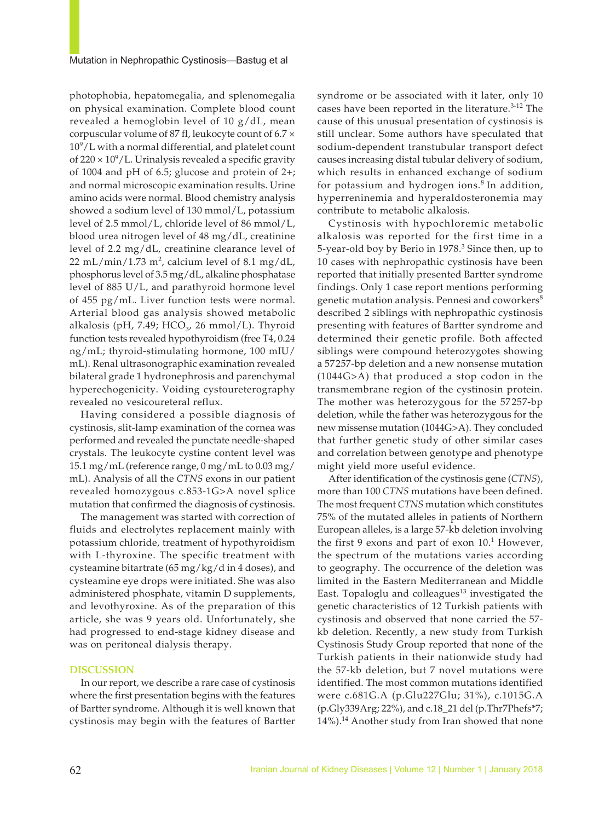photophobia, hepatomegalia, and splenomegalia on physical examination. Complete blood count revealed a hemoglobin level of 10 g/dL, mean corpuscular volume of 87 fl, leukocyte count of 6.7 ×  $10^9$ /L with a normal differential, and platelet count of 220  $\times$  10<sup>9</sup>/L. Urinalysis revealed a specific gravity of 1004 and pH of 6.5; glucose and protein of 2+; and normal microscopic examination results. Urine amino acids were normal. Blood chemistry analysis showed a sodium level of 130 mmol/L, potassium level of 2.5 mmol/L, chloride level of 86 mmol/L, blood urea nitrogen level of 48 mg/dL, creatinine level of 2.2 mg/dL, creatinine clearance level of 22 mL/min/1.73 m<sup>2</sup>, calcium level of 8.1 mg/dL, phosphorus level of 3.5 mg/dL, alkaline phosphatase level of 885 U/L, and parathyroid hormone level of 455 pg/mL. Liver function tests were normal. Arterial blood gas analysis showed metabolic alkalosis (pH, 7.49; HCO<sub>3</sub>, 26 mmol/L). Thyroid function tests revealed hypothyroidism (free T4, 0.24 ng/mL; thyroid-stimulating hormone, 100 mIU/ mL). Renal ultrasonographic examination revealed bilateral grade 1 hydronephrosis and parenchymal hyperechogenicity. Voiding cystoureterography revealed no vesicoureteral reflux.

Having considered a possible diagnosis of cystinosis, slit-lamp examination of the cornea was performed and revealed the punctate needle-shaped crystals. The leukocyte cystine content level was 15.1 mg/mL (reference range, 0 mg/mL to 0.03 mg/ mL). Analysis of all the *CTNS* exons in our patient revealed homozygous c.853-1G>A novel splice mutation that confirmed the diagnosis of cystinosis.

The management was started with correction of fluids and electrolytes replacement mainly with potassium chloride, treatment of hypothyroidism with L-thyroxine. The specific treatment with cysteamine bitartrate (65 mg/kg/d in 4 doses), and cysteamine eye drops were initiated. She was also administered phosphate, vitamin D supplements, and levothyroxine. As of the preparation of this article, she was 9 years old. Unfortunately, she had progressed to end-stage kidney disease and was on peritoneal dialysis therapy.

#### **DISCUSSION**

In our report, we describe a rare case of cystinosis where the first presentation begins with the features of Bartter syndrome. Although it is well known that cystinosis may begin with the features of Bartter

syndrome or be associated with it later, only 10 cases have been reported in the literature. $3-12$  The cause of this unusual presentation of cystinosis is still unclear. Some authors have speculated that sodium-dependent transtubular transport defect causes increasing distal tubular delivery of sodium, which results in enhanced exchange of sodium for potassium and hydrogen ions.<sup>8</sup> In addition, hyperreninemia and hyperaldosteronemia may contribute to metabolic alkalosis.

Cystinosis with hypochloremic metabolic alkalosis was reported for the first time in a 5-year-old boy by Berio in 1978.<sup>3</sup> Since then, up to 10 cases with nephropathic cystinosis have been reported that initially presented Bartter syndrome findings. Only 1 case report mentions performing genetic mutation analysis. Pennesi and coworkers<sup>8</sup> described 2 siblings with nephropathic cystinosis presenting with features of Bartter syndrome and determined their genetic profile. Both affected siblings were compound heterozygotes showing a 57257-bp deletion and a new nonsense mutation (1044G>A) that produced a stop codon in the transmembrane region of the cystinosin protein. The mother was heterozygous for the 57257-bp deletion, while the father was heterozygous for the new missense mutation (1044G>A). They concluded that further genetic study of other similar cases and correlation between genotype and phenotype might yield more useful evidence.

After identification of the cystinosis gene (*CTNS*), more than 100 *CTNS* mutations have been defined. The most frequent *CTNS* mutation which constitutes 75% of the mutated alleles in patients of Northern European alleles, is a large 57-kb deletion involving the first 9 exons and part of exon  $10<sup>1</sup>$  However, the spectrum of the mutations varies according to geography. The occurrence of the deletion was limited in the Eastern Mediterranean and Middle East. Topaloglu and colleagues $13$  investigated the genetic characteristics of 12 Turkish patients with cystinosis and observed that none carried the 57 kb deletion. Recently, a new study from Turkish Cystinosis Study Group reported that none of the Turkish patients in their nationwide study had the 57-kb deletion, but 7 novel mutations were identified. The most common mutations identified were c.681G.A (p.Glu227Glu; 31%), c.1015G.A (p.Gly339Arg; 22%), and c.18\_21 del (p.Thr7Phefs\*7; 14%).<sup>14</sup> Another study from Iran showed that none